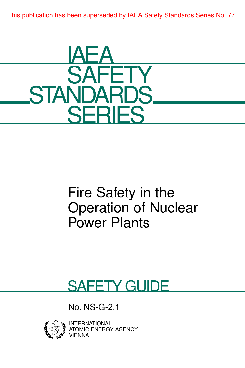

# Fire Safety in the Operation of Nuclear Power Plants

# SAFETY GUIDE

No. NS-G-2.1



RNATIONAL **IC ENERGY AGENCY** VIENNA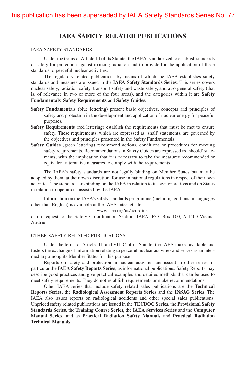## **IAEA SAFETY RELATED PUBLICATIONS**

#### IAEA SAFETY STANDARDS

Under the terms of Article III of its Statute, the IAEA is authorized to establish standards of safety for protection against ionizing radiation and to provide for the application of these standards to peaceful nuclear activities.

The regulatory related publications by means of which the IAEA establishes safety standards and measures are issued in the **IAEA Safety Standards Series**. This series covers nuclear safety, radiation safety, transport safety and waste safety, and also general safety (that is, of relevance in two or more of the four areas), and the categories within it are **Safety Fundamentals**, **Safety Requirements** and **Safety Guides.**

- **Safety Fundamentals** (blue lettering) present basic objectives, concepts and principles of safety and protection in the development and application of nuclear energy for peaceful purposes.
- **Safety Requirements** (red lettering) establish the requirements that must be met to ensure safety. These requirements, which are expressed as 'shall' statements, are governed by the objectives and principles presented in the Safety Fundamentals.
- **Safety Guides** (green lettering) recommend actions, conditions or procedures for meeting safety requirements. Recommendations in Safety Guides are expressed as 'should' statements, with the implication that it is necessary to take the measures recommended or equivalent alternative measures to comply with the requirements.

The IAEA's safety standards are not legally binding on Member States but may be adopted by them, at their own discretion, for use in national regulations in respect of their own activities. The standards are binding on the IAEA in relation to its own operations and on States in relation to operations assisted by the IAEA.

Information on the IAEA's safety standards programme (including editions in languages other than English) is available at the IAEA Internet site

www.iaea.org/ns/coordinet

or on request to the Safety Co-ordination Section, IAEA, P.O. Box 100, A-1400 Vienna, Austria.

#### OTHER SAFETY RELATED PUBLICATIONS

Under the terms of Articles III and VIII.C of its Statute, the IAEA makes available and fosters the exchange of information relating to peaceful nuclear activities and serves as an intermediary among its Member States for this purpose.

Reports on safety and protection in nuclear activities are issued in other series, in particular the **IAEA Safety Reports Series**, as informational publications. Safety Reports may describe good practices and give practical examples and detailed methods that can be used to meet safety requirements. They do not establish requirements or make recommendations.

Other IAEA series that include safety related sales publications are the **Technical Reports Series,** the **Radiological Assessment Reports Series** and the **INSAG Series**. The IAEA also issues reports on radiological accidents and other special sales publications. Unpriced safety related publications are issued in the **TECDOC Series**, the **Provisional Safety Standards Series**, the **Training Course Series,** the **IAEA Services Series** and the **Computer Manual Series**, and as **Practical Radiation Safety Manuals** and **Practical Radiation Technical Manuals**.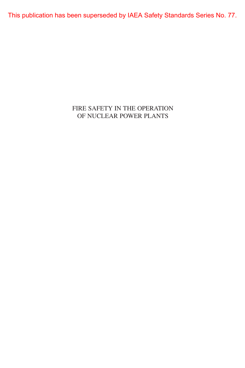## FIRE SAFETY IN THE OPERATION OF NUCLEAR POWER PLANTS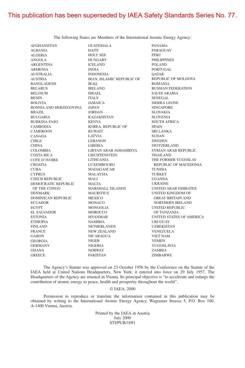AFGHANISTAN ALBANIA ALGERIA ANGOLA ARGENTINA ARMENIA AUSTRALIA **AUSTRIA** BANGLADESH BELARUS BELGIUM BENIN BOLIVIA BOSNIA AND HERZEGOVINA JAPAN BRAZIL BULGARIA BURKINA FASO CAMBODIA CAMEROON CANADA CHILE CHINA COLOMBIA  $\frac{1}{\sqrt{N}}$ COSTA RICA COTE D'IVOIRE CROATIA CUBA **CYPRUS** CZECH REPUBLIC DEMOCRATIC REPUBLIC OF THE CONGO DENMARK DOMINICAN REPUBLIC ECUADOR EGYPT EL SALVADOR ESTONIA ETHIOPIA FINLAND FRANCE GABON GEORGIA GERMANY GHANA GREECE GUATEMALA HAITI HOLY SEE HUNGARY ICELAND INDIA INDONESIA IRAN, ISLAMIC REPUBLIC OF REPUBLIC OF MOLDOVA IRAQ IRELAND ISRAEL ITALY JAMAICA JORDAN KAZAKHSTAN KENYA KOREA, REPUBLIC OF KUWAIT LATVIA LEBANON LIBERIA LIBYAN ARAB JAMAHIRIYA SYRIAN ARAB REPUBLIC LIECHTENSTEIN LITHUANIA LUXEMBOURG MADAGASCAR MALAYSIA MALI MALTA MARSHALL ISLANDS MAURITIUS MEXICO MONACO MONGOLIA **MOROCCO** MYANMAR NAMIBIA NETHERLANDS NEW ZEALAND NICARAGUA NIGER NIGERIA NORWAY PAKISTAN PANAMA **PARAGUAY** PERU PHILIPPINES POLAND PORTUGAL QATAR ROMANIA RUSSIAN FEDERATION SAUDI ARABIA SENEGAL SIERRA LEONE SINGAPORE SLOVAKIA SLOVENIA SOUTH AFRICA SPAIN SRI LANKA SUDAN SWEDEN SWITZERLAND THAIL AND THE FORMER YUGOSLAV REPUBLIC OF MACEDONIA TUNISIA TURKEY UGANDA UKRAINE UNITED ARAB EMIRATES UNITED KINGDOM OF GREAT BRITAIN AND NORTHERN IRELAND UNITED REPUBLIC OF TANZANIA UNITED STATES OF AMERICA URUGUAY UZBEKISTAN VENEZUELA VIET NAM YEMEN YUGOSLAVIA ZAMBIA ZIMBABWE

The following States are Members of the International Atomic Energy Agency:

The Agency's Statute was approved on 23 October 1956 by the Conference on the Statute of the IAEA held at United Nations Headquarters, New York; it entered into force on 29 July 1957. The Headquarters of the Agency are situated in Vienna. Its principal objective is "to accelerate and enlarge the contribution of atomic energy to peace, health and prosperity throughout the world''.

#### © IAEA, 2000

Permission to reproduce or translate the information contained in this publication may be obtained by writing to the International Atomic Energy Agency, Wagramer Strasse 5, P.O. Box 100, A-1400 Vienna, Austria.

> Printed by the IAEA in Austria July 2000 STI/PUB/1091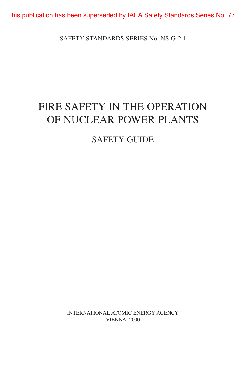SAFETY STANDARDS SERIES No. NS-G-2.1

# FIRE SAFETY IN THE OPERATION OF NUCLEAR POWER PLANTS

# SAFETY GUIDE

INTERNATIONAL ATOMIC ENERGY AGENCY VIENNA, 2000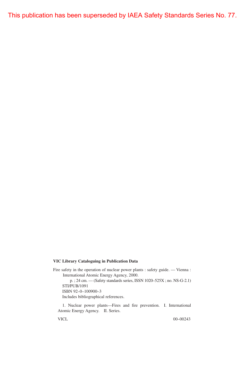#### **VIC Library Cataloguing in Publication Data**

Fire safety in the operation of nuclear power plants : safety guide. — Vienna : International Atomic Energy Agency, 2000. p. ; 24 cm. — (Safety standards series, ISSN 1020–525X ; no. NS-G-2.1) STI/PUB/1091

ISBN 92–0–100900–3 Includes bibliographical references.

1. Nuclear power plants—Fires and fire prevention. I. International Atomic Energy Agency. II. Series.

VICL 00–00243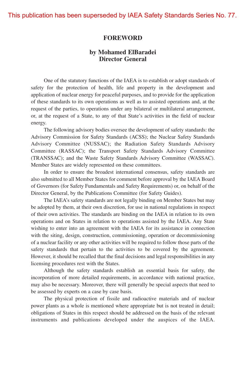## **FOREWORD**

## **by Mohamed ElBaradei Director General**

One of the statutory functions of the IAEA is to establish or adopt standards of safety for the protection of health, life and property in the development and application of nuclear energy for peaceful purposes, and to provide for the application of these standards to its own operations as well as to assisted operations and, at the request of the parties, to operations under any bilateral or multilateral arrangement, or, at the request of a State, to any of that State's activities in the field of nuclear energy.

The following advisory bodies oversee the development of safety standards: the Advisory Commission for Safety Standards (ACSS); the Nuclear Safety Standards Advisory Committee (NUSSAC); the Radiation Safety Standards Advisory Committee (RASSAC); the Transport Safety Standards Advisory Committee (TRANSSAC); and the Waste Safety Standards Advisory Committee (WASSAC). Member States are widely represented on these committees.

In order to ensure the broadest international consensus, safety standards are also submitted to all Member States for comment before approval by the IAEA Board of Governors (for Safety Fundamentals and Safety Requirements) or, on behalf of the Director General, by the Publications Committee (for Safety Guides).

The IAEA's safety standards are not legally binding on Member States but may be adopted by them, at their own discretion, for use in national regulations in respect of their own activities. The standards are binding on the IAEA in relation to its own operations and on States in relation to operations assisted by the IAEA. Any State wishing to enter into an agreement with the IAEA for its assistance in connection with the siting, design, construction, commissioning, operation or decommissioning of a nuclear facility or any other activities will be required to follow those parts of the safety standards that pertain to the activities to be covered by the agreement. However, it should be recalled that the final decisions and legal responsibilities in any licensing procedures rest with the States.

Although the safety standards establish an essential basis for safety, the incorporation of more detailed requirements, in accordance with national practice, may also be necessary. Moreover, there will generally be special aspects that need to be assessed by experts on a case by case basis.

The physical protection of fissile and radioactive materials and of nuclear power plants as a whole is mentioned where appropriate but is not treated in detail; obligations of States in this respect should be addressed on the basis of the relevant instruments and publications developed under the auspices of the IAEA.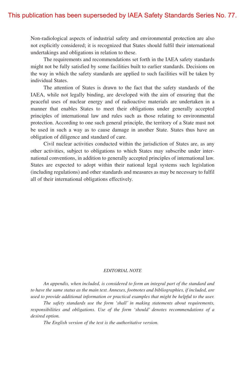Non-radiological aspects of industrial safety and environmental protection are also not explicitly considered; it is recognized that States should fulfil their international undertakings and obligations in relation to these.

The requirements and recommendations set forth in the IAEA safety standards might not be fully satisfied by some facilities built to earlier standards. Decisions on the way in which the safety standards are applied to such facilities will be taken by individual States.

The attention of States is drawn to the fact that the safety standards of the IAEA, while not legally binding, are developed with the aim of ensuring that the peaceful uses of nuclear energy and of radioactive materials are undertaken in a manner that enables States to meet their obligations under generally accepted principles of international law and rules such as those relating to environmental protection. According to one such general principle, the territory of a State must not be used in such a way as to cause damage in another State. States thus have an obligation of diligence and standard of care.

Civil nuclear activities conducted within the jurisdiction of States are, as any other activities, subject to obligations to which States may subscribe under international conventions, in addition to generally accepted principles of international law. States are expected to adopt within their national legal systems such legislation (including regulations) and other standards and measures as may be necessary to fulfil all of their international obligations effectively.

#### *EDITORIAL NOTE*

*An appendix, when included, is considered to form an integral part of the standard and to have the same status as the main text. Annexes, footnotes and bibliographies, if included, are used to provide additional information or practical examples that might be helpful to the user.*

*The safety standards use the form 'shall' in making statements about requirements, responsibilities and obligations. Use of the form 'should' denotes recommendations of a desired option.*

*The English version of the text is the authoritative version.*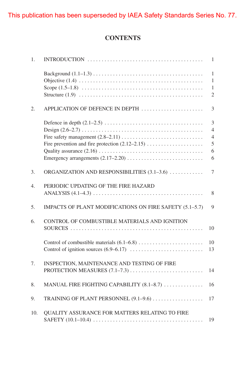## **CONTENTS**

| 1.  |                                                         | $\mathbf{1}$                                         |
|-----|---------------------------------------------------------|------------------------------------------------------|
|     |                                                         | $\mathbf{1}$<br>1<br>1<br>$\mathfrak{2}$             |
| 2.  | APPLICATION OF DEFENCE IN DEPTH                         | 3                                                    |
|     |                                                         | 3<br>$\overline{4}$<br>$\overline{4}$<br>5<br>6<br>6 |
| 3.  | ORGANIZATION AND RESPONSIBILITIES (3.1–3.6)             | $\overline{7}$                                       |
| 4.  | PERIODIC UPDATING OF THE FIRE HAZARD                    | $8\,$                                                |
| 5.  | IMPACTS OF PLANT MODIFICATIONS ON FIRE SAFETY (5.1-5.7) | 9                                                    |
| 6.  | CONTROL OF COMBUSTIBLE MATERIALS AND IGNITION           | 10                                                   |
|     |                                                         | 10<br>13                                             |
| 7.  | INSPECTION, MAINTENANCE AND TESTING OF FIRE             | 14                                                   |
| 8.  | MANUAL FIRE FIGHTING CAPABILITY (8.1-8.7)               | 16                                                   |
| 9.  | TRAINING OF PLANT PERSONNEL (9.1–9.6)                   | 17                                                   |
| 10. | QUALITY ASSURANCE FOR MATTERS RELATING TO FIRE          | 19                                                   |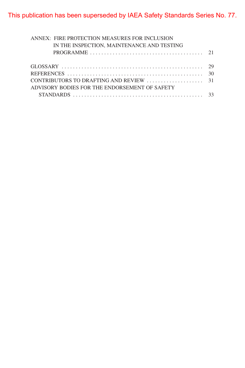| ANNEX: FIRE PROTECTION MEASURES FOR INCLUSION |  |
|-----------------------------------------------|--|
| IN THE INSPECTION, MAINTENANCE AND TESTING    |  |
|                                               |  |
|                                               |  |
|                                               |  |
|                                               |  |
|                                               |  |
| ADVISORY BODIES FOR THE ENDORSEMENT OF SAFETY |  |
|                                               |  |
|                                               |  |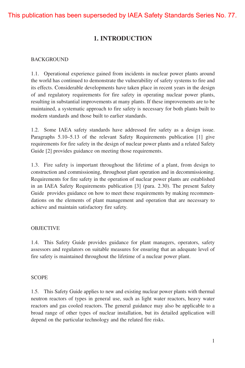## **1. INTRODUCTION**

### BACKGROUND

1.1. Operational experience gained from incidents in nuclear power plants around the world has continued to demonstrate the vulnerability of safety systems to fire and its effects. Considerable developments have taken place in recent years in the design of and regulatory requirements for fire safety in operating nuclear power plants, resulting in substantial improvements at many plants. If these improvements are to be maintained, a systematic approach to fire safety is necessary for both plants built to modern standards and those built to earlier standards.

1.2. Some IAEA safety standards have addressed fire safety as a design issue. Paragraphs 5.10–5.13 of the relevant Safety Requirements publication [1] give requirements for fire safety in the design of nuclear power plants and a related Safety Guide [2] provides guidance on meeting those requirements.

1.3. Fire safety is important throughout the lifetime of a plant, from design to construction and commissioning, throughout plant operation and in decommissioning. Requirements for fire safety in the operation of nuclear power plants are established in an IAEA Safety Requirements publication [3] (para. 2.30). The present Safety Guide provides guidance on how to meet these requirements by making recommendations on the elements of plant management and operation that are necessary to achieve and maintain satisfactory fire safety.

#### OBJECTIVE

1.4. This Safety Guide provides guidance for plant managers, operators, safety assessors and regulators on suitable measures for ensuring that an adequate level of fire safety is maintained throughout the lifetime of a nuclear power plant.

#### **SCOPE**

1.5. This Safety Guide applies to new and existing nuclear power plants with thermal neutron reactors of types in general use, such as light water reactors, heavy water reactors and gas cooled reactors. The general guidance may also be applicable to a broad range of other types of nuclear installation, but its detailed application will depend on the particular technology and the related fire risks.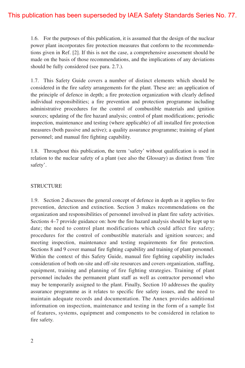1.6. For the purposes of this publication, it is assumed that the design of the nuclear power plant incorporates fire protection measures that conform to the recommendations given in Ref. [2]. If this is not the case, a comprehensive assessment should be made on the basis of those recommendations, and the implications of any deviations should be fully considered (see para. 2.7.).

1.7. This Safety Guide covers a number of distinct elements which should be considered in the fire safety arrangements for the plant. These are: an application of the principle of defence in depth; a fire protection organization with clearly defined individual responsibilities; a fire prevention and protection programme including administrative procedures for the control of combustible materials and ignition sources; updating of the fire hazard analysis; control of plant modifications; periodic inspection, maintenance and testing (where applicable) of all installed fire protection measures (both passive and active); a quality assurance programme; training of plant personnel; and manual fire fighting capability.

1.8. Throughout this publication, the term 'safety' without qualification is used in relation to the nuclear safety of a plant (see also the Glossary) as distinct from 'fire safety'.

## STRUCTURE

1.9. Section 2 discusses the general concept of defence in depth as it applies to fire prevention, detection and extinction. Section 3 makes recommendations on the organization and responsibilities of personnel involved in plant fire safety activities. Sections 4–7 provide guidance on: how the fire hazard analysis should be kept up to date; the need to control plant modifications which could affect fire safety; procedures for the control of combustible materials and ignition sources; and meeting inspection, maintenance and testing requirements for fire protection. Sections 8 and 9 cover manual fire fighting capability and training of plant personnel. Within the context of this Safety Guide, manual fire fighting capability includes consideration of both on-site and off-site resources and covers organization, staffing, equipment, training and planning of fire fighting strategies. Training of plant personnel includes the permanent plant staff as well as contractor personnel who may be temporarily assigned to the plant. Finally, Section 10 addresses the quality assurance programme as it relates to specific fire safety issues, and the need to maintain adequate records and documentation. The Annex provides additional information on inspection, maintenance and testing in the form of a sample list of features, systems, equipment and components to be considered in relation to fire safety.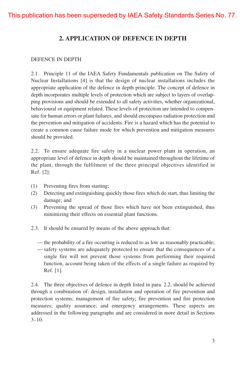## **2. APPLICATION OF DEFENCE IN DEPTH**

#### DEFENCE IN DEPTH

2.1. Principle 11 of the IAEA Safety Fundamentals publication on The Safety of Nuclear Installations [4] is that the design of nuclear installations includes the appropriate application of the defence in depth principle. The concept of defence in depth incorporates multiple levels of protection which are subject to layers of overlapping provisions and should be extended to all safety activities, whether organizational, behavioural or equipment related. These levels of protection are intended to compensate for human errors or plant failures, and should encompass radiation protection and the prevention and mitigation of accidents. Fire is a hazard which has the potential to create a common cause failure mode for which prevention and mitigation measures should be provided.

2.2. To ensure adequate fire safety in a nuclear power plant in operation, an appropriate level of defence in depth should be maintained throughout the lifetime of the plant, through the fulfilment of the three principal objectives identified in Ref. [2]:

- (1) Preventing fires from starting;
- (2) Detecting and extinguishing quickly those fires which do start, thus limiting the damage; and
- (3) Preventing the spread of those fires which have not been extinguished, thus minimizing their effects on essential plant functions.
- 2.3. It should be ensured by means of the above approach that:
	- the probability of a fire occurring is reduced to as low as reasonably practicable;
	- safety systems are adequately protected to ensure that the consequences of a single fire will not prevent those systems from performing their required function, account being taken of the effects of a single failure as required by Ref. [1].

2.4. The three objectives of defence in depth listed in para. 2.2. should be achieved through a combination of: design, installation and operation of fire prevention and protection systems; management of fire safety; fire prevention and fire protection measures; quality assurance; and emergency arrangements. These aspects are addressed in the following paragraphs and are considered in more detail in Sections  $3 - 10.$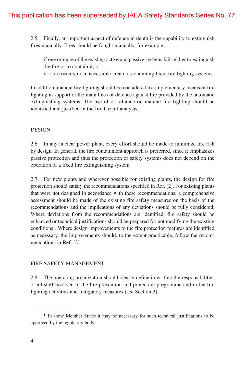2.5. Finally, an important aspect of defence in depth is the capability to extinguish fires manually. Fires should be fought manually, for example:

- if one or more of the existing active and passive systems fails either to extinguish the fire or to contain it; or
- if a fire occurs in an accessible area not containing fixed fire fighting systems.

In addition, manual fire fighting should be considered a complementary means of fire fighting in support of the main lines of defence against fire provided by the automatic extinguishing systems. The use of or reliance on manual fire fighting should be identified and justified in the fire hazard analysis.

#### DESIGN

2.6. In any nuclear power plant, every effort should be made to minimize fire risk by design. In general, the fire containment approach is preferred, since it emphasizes passive protection and thus the protection of safety systems does not depend on the operation of a fixed fire extinguishing system.

2.7. For new plants and wherever possible for existing plants, the design for fire protection should satisfy the recommendations specified in Ref. [2]. For existing plants that were not designed in accordance with these recommendations, a comprehensive assessment should be made of the existing fire safety measures on the basis of the recommendations and the implications of any deviations should be fully considered. Where deviations from the recommendations are identified, fire safety should be enhanced or technical justifications should be prepared for not modifying the existing conditions<sup>1</sup>. Where design improvements to the fire protection features are identified as necessary, the improvements should, to the extent practicable, follow the recommendations in Ref. [2].

#### FIRE SAFETY MANAGEMENT

2.8. The operating organization should clearly define in writing the responsibilities of all staff involved in the fire prevention and protection programme and in the fire fighting activities and mitigatory measures (see Section 3).

<sup>&</sup>lt;sup>1</sup> In some Member States it may be necessary for such technical justifications to be approved by the regulatory body.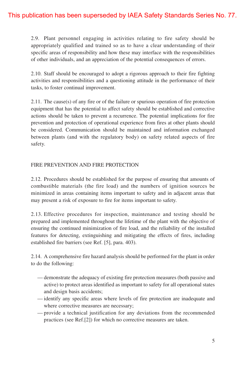2.9. Plant personnel engaging in activities relating to fire safety should be appropriately qualified and trained so as to have a clear understanding of their specific areas of responsibility and how these may interface with the responsibilities of other individuals, and an appreciation of the potential consequences of errors.

2.10. Staff should be encouraged to adopt a rigorous approach to their fire fighting activities and responsibilities and a questioning attitude in the performance of their tasks, to foster continual improvement.

2.11. The cause(s) of any fire or of the failure or spurious operation of fire protection equipment that has the potential to affect safety should be established and corrective actions should be taken to prevent a recurrence. The potential implications for fire prevention and protection of operational experience from fires at other plants should be considered. Communication should be maintained and information exchanged between plants (and with the regulatory body) on safety related aspects of fire safety.

#### FIRE PREVENTION AND FIRE PROTECTION

2.12. Procedures should be established for the purpose of ensuring that amounts of combustible materials (the fire load) and the numbers of ignition sources be minimized in areas containing items important to safety and in adjacent areas that may present a risk of exposure to fire for items important to safety.

2.13. Effective procedures for inspection, maintenance and testing should be prepared and implemented throughout the lifetime of the plant with the objective of ensuring the continued minimization of fire load, and the reliability of the installed features for detecting, extinguishing and mitigating the effects of fires, including established fire barriers (see Ref. [5], para. 403).

2.14. A comprehensive fire hazard analysis should be performed for the plant in order to do the following:

- demonstrate the adequacy of existing fire protection measures (both passive and active) to protect areas identified as important to safety for all operational states and design basis accidents;
- identify any specific areas where levels of fire protection are inadequate and where corrective measures are necessary;
- provide a technical justification for any deviations from the recommended practices (see Ref.[2]) for which no corrective measures are taken.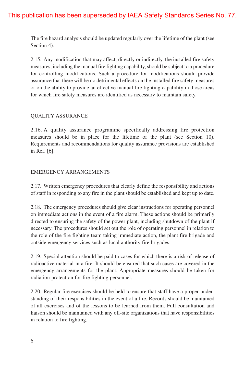The fire hazard analysis should be updated regularly over the lifetime of the plant (see Section 4).

2.15. Any modification that may affect, directly or indirectly, the installed fire safety measures, including the manual fire fighting capability, should be subject to a procedure for controlling modifications. Such a procedure for modifications should provide assurance that there will be no detrimental effects on the installed fire safety measures or on the ability to provide an effective manual fire fighting capability in those areas for which fire safety measures are identified as necessary to maintain safety.

#### QUALITY ASSURANCE

2.16. A quality assurance programme specifically addressing fire protection measures should be in place for the lifetime of the plant (see Section 10). Requirements and recommendations for quality assurance provisions are established in Ref. [6].

#### EMERGENCY ARRANGEMENTS

2.17. Written emergency procedures that clearly define the responsibility and actions of staff in responding to any fire in the plant should be established and kept up to date.

2.18. The emergency procedures should give clear instructions for operating personnel on immediate actions in the event of a fire alarm. These actions should be primarily directed to ensuring the safety of the power plant, including shutdown of the plant if necessary. The procedures should set out the role of operating personnel in relation to the role of the fire fighting team taking immediate action, the plant fire brigade and outside emergency services such as local authority fire brigades.

2.19. Special attention should be paid to cases for which there is a risk of release of radioactive material in a fire. It should be ensured that such cases are covered in the emergency arrangements for the plant. Appropriate measures should be taken for radiation protection for fire fighting personnel.

2.20. Regular fire exercises should be held to ensure that staff have a proper understanding of their responsibilities in the event of a fire. Records should be maintained of all exercises and of the lessons to be learned from them. Full consultation and liaison should be maintained with any off-site organizations that have responsibilities in relation to fire fighting.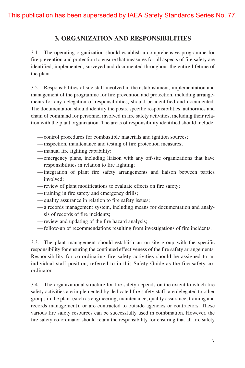## **3. ORGANIZATION AND RESPONSIBILITIES**

3.1. The operating organization should establish a comprehensive programme for fire prevention and protection to ensure that measures for all aspects of fire safety are identified, implemented, surveyed and documented throughout the entire lifetime of the plant.

3.2. Responsibilities of site staff involved in the establishment, implementation and management of the programme for fire prevention and protection, including arrangements for any delegation of responsibilities, should be identified and documented. The documentation should identify the posts, specific responsibilities, authorities and chain of command for personnel involved in fire safety activities, including their relation with the plant organization. The areas of responsibility identified should include:

- control procedures for combustible materials and ignition sources;
- inspection, maintenance and testing of fire protection measures;
- manual fire fighting capability;
- emergency plans, including liaison with any off-site organizations that have responsibilities in relation to fire fighting;
- integration of plant fire safety arrangements and liaison between parties involved;
- review of plant modifications to evaluate effects on fire safety;
- training in fire safety and emergency drills;
- quality assurance in relation to fire safety issues;
- a records management system, including means for documentation and analysis of records of fire incidents;
- review and updating of the fire hazard analysis;
- follow-up of recommendations resulting from investigations of fire incidents.

3.3. The plant management should establish an on-site group with the specific responsibility for ensuring the continued effectiveness of the fire safety arrangements. Responsibility for co-ordinating fire safety activities should be assigned to an individual staff position, referred to in this Safety Guide as the fire safety coordinator.

3.4. The organizational structure for fire safety depends on the extent to which fire safety activities are implemented by dedicated fire safety staff, are delegated to other groups in the plant (such as engineering, maintenance, quality assurance, training and records management), or are contracted to outside agencies or contractors. These various fire safety resources can be successfully used in combination. However, the fire safety co-ordinator should retain the responsibility for ensuring that all fire safety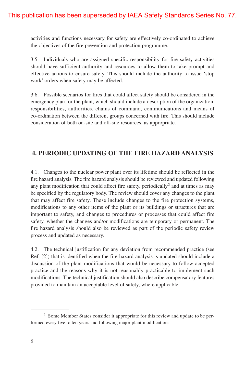activities and functions necessary for safety are effectively co-ordinated to achieve the objectives of the fire prevention and protection programme.

3.5. Individuals who are assigned specific responsibility for fire safety activities should have sufficient authority and resources to allow them to take prompt and effective actions to ensure safety. This should include the authority to issue 'stop work' orders when safety may be affected.

3.6. Possible scenarios for fires that could affect safety should be considered in the emergency plan for the plant, which should include a description of the organization, responsibilities, authorities, chains of command, communications and means of co-ordination between the different groups concerned with fire. This should include consideration of both on-site and off-site resources, as appropriate.

## **4. PERIODIC UPDATING OF THE FIRE HAZARD ANALYSIS**

4.1. Changes to the nuclear power plant over its lifetime should be reflected in the fire hazard analysis. The fire hazard analysis should be reviewed and updated following any plant modification that could affect fire safety, periodically<sup>2</sup> and at times as may be specified by the regulatory body. The review should cover any changes to the plant that may affect fire safety. These include changes to the fire protection systems, modifications to any other items of the plant or its buildings or structures that are important to safety, and changes to procedures or processes that could affect fire safety, whether the changes and/or modifications are temporary or permanent. The fire hazard analysis should also be reviewed as part of the periodic safety review process and updated as necessary.

4.2. The technical justification for any deviation from recommended practice (see Ref. [2]) that is identified when the fire hazard analysis is updated should include a discussion of the plant modifications that would be necessary to follow accepted practice and the reasons why it is not reasonably practicable to implement such modifications. The technical justification should also describe compensatory features provided to maintain an acceptable level of safety, where applicable.

<sup>2</sup> Some Member States consider it appropriate for this review and update to be performed every five to ten years and following major plant modifications.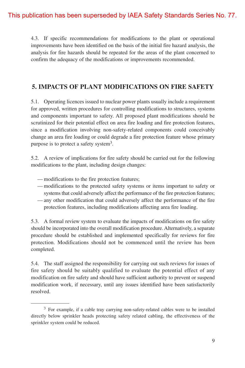4.3. If specific recommendations for modifications to the plant or operational improvements have been identified on the basis of the initial fire hazard analysis, the analysis for fire hazards should be repeated for the areas of the plant concerned to confirm the adequacy of the modifications or improvements recommended.

## **5. IMPACTS OF PLANT MODIFICATIONS ON FIRE SAFETY**

5.1. Operating licences issued to nuclear power plants usually include a requirement for approved, written procedures for controlling modifications to structures, systems and components important to safety. All proposed plant modifications should be scrutinized for their potential effect on area fire loading and fire protection features, since a modification involving non-safety-related components could conceivably change an area fire loading or could degrade a fire protection feature whose primary purpose is to protect a safety system<sup>3</sup>.

5.2. A review of implications for fire safety should be carried out for the following modifications to the plant, including design changes:

- modifications to the fire protection features;
- modifications to the protected safety systems or items important to safety or systems that could adversely affect the performance of the fire protection features;
- any other modification that could adversely affect the performance of the fire protection features, including modifications affecting area fire loading.

5.3. A formal review system to evaluate the impacts of modifications on fire safety should be incorporated into the overall modification procedure. Alternatively, a separate procedure should be established and implemented specifically for reviews for fire protection. Modifications should not be commenced until the review has been completed.

5.4. The staff assigned the responsibility for carrying out such reviews for issues of fire safety should be suitably qualified to evaluate the potential effect of any modification on fire safety and should have sufficient authority to prevent or suspend modification work, if necessary, until any issues identified have been satisfactorily resolved.

<sup>&</sup>lt;sup>3</sup> For example, if a cable tray carrying non-safety-related cables were to be installed directly below sprinkler heads protecting safety related cabling, the effectiveness of the sprinkler system could be reduced.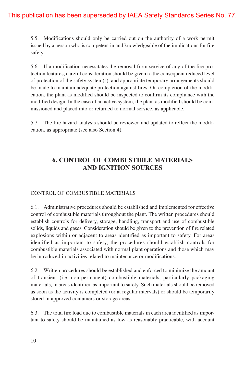5.5. Modifications should only be carried out on the authority of a work permit issued by a person who is competent in and knowledgeable of the implications for fire safety.

5.6. If a modification necessitates the removal from service of any of the fire protection features, careful consideration should be given to the consequent reduced level of protection of the safety system(s), and appropriate temporary arrangements should be made to maintain adequate protection against fires. On completion of the modification, the plant as modified should be inspected to confirm its compliance with the modified design. In the case of an active system, the plant as modified should be commissioned and placed into or returned to normal service, as applicable.

5.7. The fire hazard analysis should be reviewed and updated to reflect the modification, as appropriate (see also Section 4).

## **6. CONTROL OF COMBUSTIBLE MATERIALS AND IGNITION SOURCES**

#### CONTROL OF COMBUSTIBLE MATERIALS

6.1. Administrative procedures should be established and implemented for effective control of combustible materials throughout the plant. The written procedures should establish controls for delivery, storage, handling, transport and use of combustible solids, liquids and gases. Consideration should be given to the prevention of fire related explosions within or adjacent to areas identified as important to safety. For areas identified as important to safety, the procedures should establish controls for combustible materials associated with normal plant operations and those which may be introduced in activities related to maintenance or modifications.

6.2. Written procedures should be established and enforced to minimize the amount of transient (i.e. non-permanent) combustible materials, particularly packaging materials, in areas identified as important to safety. Such materials should be removed as soon as the activity is completed (or at regular intervals) or should be temporarily stored in approved containers or storage areas.

6.3. The total fire load due to combustible materials in each area identified as important to safety should be maintained as low as reasonably practicable, with account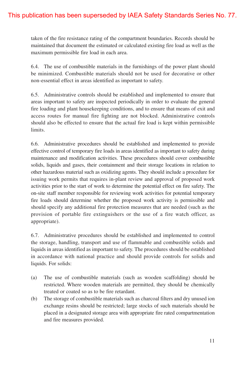taken of the fire resistance rating of the compartment boundaries. Records should be maintained that document the estimated or calculated existing fire load as well as the maximum permissible fire load in each area.

6.4. The use of combustible materials in the furnishings of the power plant should be minimized. Combustible materials should not be used for decorative or other non-essential effect in areas identified as important to safety.

6.5. Administrative controls should be established and implemented to ensure that areas important to safety are inspected periodically in order to evaluate the general fire loading and plant housekeeping conditions, and to ensure that means of exit and access routes for manual fire fighting are not blocked. Administrative controls should also be effected to ensure that the actual fire load is kept within permissible limits.

6.6. Administrative procedures should be established and implemented to provide effective control of temporary fire loads in areas identified as important to safety during maintenance and modification activities. These procedures should cover combustible solids, liquids and gases, their containment and their storage locations in relation to other hazardous material such as oxidizing agents. They should include a procedure for issuing work permits that requires in-plant review and approval of proposed work activities prior to the start of work to determine the potential effect on fire safety. The on-site staff member responsible for reviewing work activities for potential temporary fire loads should determine whether the proposed work activity is permissible and should specify any additional fire protection measures that are needed (such as the provision of portable fire extinguishers or the use of a fire watch officer, as appropriate).

6.7. Administrative procedures should be established and implemented to control the storage, handling, transport and use of flammable and combustible solids and liquids in areas identified as important to safety. The procedures should be established in accordance with national practice and should provide controls for solids and liquids. For solids:

- (a) The use of combustible materials (such as wooden scaffolding) should be restricted. Where wooden materials are permitted, they should be chemically treated or coated so as to be fire retardant.
- (b) The storage of combustible materials such as charcoal filters and dry unused ion exchange resins should be restricted; large stocks of such materials should be placed in a designated storage area with appropriate fire rated compartmentation and fire measures provided.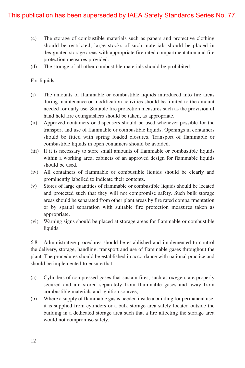- (c) The storage of combustible materials such as papers and protective clothing should be restricted; large stocks of such materials should be placed in designated storage areas with appropriate fire rated compartmentation and fire protection measures provided.
- (d) The storage of all other combustible materials should be prohibited.

For liquids:

- (i) The amounts of flammable or combustible liquids introduced into fire areas during maintenance or modification activities should be limited to the amount needed for daily use. Suitable fire protection measures such as the provision of hand held fire extinguishers should be taken, as appropriate.
- (ii) Approved containers or dispensers should be used whenever possible for the transport and use of flammable or combustible liquids. Openings in containers should be fitted with spring loaded closures. Transport of flammable or combustible liquids in open containers should be avoided.
- (iii) If it is necessary to store small amounts of flammable or combustible liquids within a working area, cabinets of an approved design for flammable liquids should be used.
- (iv) All containers of flammable or combustible liquids should be clearly and prominently labelled to indicate their contents.
- (v) Stores of large quantities of flammable or combustible liquids should be located and protected such that they will not compromise safety. Such bulk storage areas should be separated from other plant areas by fire rated compartmentation or by spatial separation with suitable fire protection measures taken as appropriate.
- (vi) Warning signs should be placed at storage areas for flammable or combustible liquids.

6.8. Administrative procedures should be established and implemented to control the delivery, storage, handling, transport and use of flammable gases throughout the plant. The procedures should be established in accordance with national practice and should be implemented to ensure that:

- (a) Cylinders of compressed gases that sustain fires, such as oxygen, are properly secured and are stored separately from flammable gases and away from combustible materials and ignition sources;
- (b) Where a supply of flammable gas is needed inside a building for permanent use, it is supplied from cylinders or a bulk storage area safely located outside the building in a dedicated storage area such that a fire affecting the storage area would not compromise safety.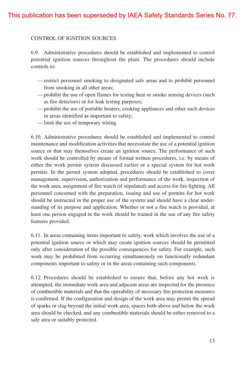#### CONTROL OF IGNITION SOURCES

6.9. Administrative procedures should be established and implemented to control potential ignition sources throughout the plant. The procedures should include controls to:

- restrict personnel smoking to designated safe areas and to prohibit personnel from smoking in all other areas;
- prohibit the use of open flames for testing heat or smoke sensing devices (such as fire detectors) or for leak testing purposes;
- prohibit the use of portable heaters, cooking appliances and other such devices in areas identified as important to safety;
- limit the use of temporary wiring.

6.10. Administrative procedures should be established and implemented to control maintenance and modification activities that necessitate the use of a potential ignition source or that may themselves create an ignition source. The performance of such work should be controlled by means of formal written procedures, i.e. by means of either the work permit system discussed earlier or a special system for hot work permits. In the permit system adopted, procedures should be established to cover management, supervision, authorization and performance of the work, inspection of the work area, assignment of fire watch (if stipulated) and access for fire fighting. All personnel concerned with the preparation, issuing and use of permits for hot work should be instructed in the proper use of the system and should have a clear understanding of its purpose and application. Whether or not a fire watch is provided, at least one person engaged in the work should be trained in the use of any fire safety features provided.

6.11. In areas containing items important to safety, work which involves the use of a potential ignition source or which may create ignition sources should be permitted only after consideration of the possible consequences for safety. For example, such work may be prohibited from occurring simultaneously on functionally redundant components important to safety or in the areas containing such components.

6.12. Procedures should be established to ensure that, before any hot work is attempted, the immediate work area and adjacent areas are inspected for the presence of combustible materials and that the operability of necessary fire protection measures is confirmed. If the configuration and design of the work area may permit the spread of sparks or slag beyond the initial work area, spaces both above and below the work area should be checked, and any combustible materials should be either removed to a safe area or suitably protected.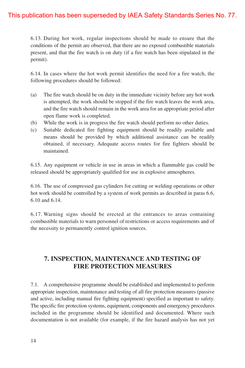6.13. During hot work, regular inspections should be made to ensure that the conditions of the permit are observed, that there are no exposed combustible materials present, and that the fire watch is on duty (if a fire watch has been stipulated in the permit).

6.14. In cases where the hot work permit identifies the need for a fire watch, the following procedures should be followed:

- (a) The fire watch should be on duty in the immediate vicinity before any hot work is attempted, the work should be stopped if the fire watch leaves the work area, and the fire watch should remain in the work area for an appropriate period after open flame work is completed.
- (b) While the work is in progress the fire watch should perform no other duties.
- (c) Suitable dedicated fire fighting equipment should be readily available and means should be provided by which additional assistance can be readily obtained, if necessary. Adequate access routes for fire fighters should be maintained.

6.15. Any equipment or vehicle in use in areas in which a flammable gas could be released should be appropriately qualified for use in explosive atmospheres.

6.16. The use of compressed gas cylinders for cutting or welding operations or other hot work should be controlled by a system of work permits as described in paras 6.6, 6.10 and 6.14.

6.17. Warning signs should be erected at the entrances to areas containing combustible materials to warn personnel of restrictions or access requirements and of the necessity to permanently control ignition sources.

## **7. INSPECTION, MAINTENANCE AND TESTING OF FIRE PROTECTION MEASURES**

7.1. A comprehensive programme should be established and implemented to perform appropriate inspection, maintenance and testing of all fire protection measures (passive and active, including manual fire fighting equipment) specified as important to safety. The specific fire protection systems, equipment, components and emergency procedures included in the programme should be identified and documented. Where such documentation is not available (for example, if the fire hazard analysis has not yet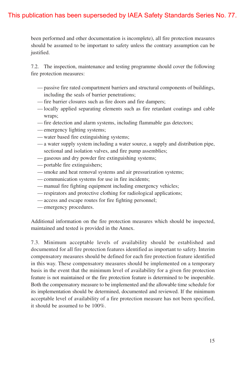been performed and other documentation is incomplete), all fire protection measures should be assumed to be important to safety unless the contrary assumption can be justified.

7.2. The inspection, maintenance and testing programme should cover the following fire protection measures:

- passive fire rated compartment barriers and structural components of buildings, including the seals of barrier penetrations;
- fire barrier closures such as fire doors and fire dampers;
- locally applied separating elements such as fire retardant coatings and cable wraps;
- fire detection and alarm systems, including flammable gas detectors;
- emergency lighting systems;
- water based fire extinguishing systems;
- a water supply system including a water source, a supply and distribution pipe, sectional and isolation valves, and fire pump assemblies;
- gaseous and dry powder fire extinguishing systems;
- portable fire extinguishers;
- smoke and heat removal systems and air pressurization systems;
- communication systems for use in fire incidents;
- manual fire fighting equipment including emergency vehicles;
- respirators and protective clothing for radiological applications;
- access and escape routes for fire fighting personnel;
- emergency procedures.

Additional information on the fire protection measures which should be inspected, maintained and tested is provided in the Annex.

7.3. Minimum acceptable levels of availability should be established and documented for all fire protection features identified as important to safety. Interim compensatory measures should be defined for each fire protection feature identified in this way. These compensatory measures should be implemented on a temporary basis in the event that the minimum level of availability for a given fire protection feature is not maintained or the fire protection feature is determined to be inoperable. Both the compensatory measure to be implemented and the allowable time schedule for its implementation should be determined, documented and reviewed. If the minimum acceptable level of availability of a fire protection measure has not been specified, it should be assumed to be 100%.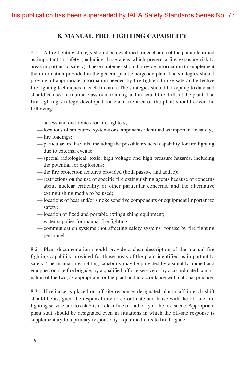## **8. MANUAL FIRE FIGHTING CAPABILITY**

8.1. A fire fighting strategy should be developed for each area of the plant identified as important to safety (including those areas which present a fire exposure risk to areas important to safety). These strategies should provide information to supplement the information provided in the general plant emergency plan. The strategies should provide all appropriate information needed by fire fighters to use safe and effective fire fighting techniques in each fire area. The strategies should be kept up to date and should be used in routine classroom training and in actual fire drills at the plant. The fire fighting strategy developed for each fire area of the plant should cover the following:

- access and exit routes for fire fighters;
- locations of structures, systems or components identified as important to safety;
- fire loadings;
- particular fire hazards, including the possible reduced capability for fire fighting due to external events;
- special radiological, toxic, high voltage and high pressure hazards, including the potential for explosions;
- the fire protection features provided (both passive and active);
- restrictions on the use of specific fire extinguishing agents because of concerns about nuclear criticality or other particular concerns, and the alternative extinguishing media to be used;
- locations of heat and/or smoke sensitive components or equipment important to safety;
- location of fixed and portable extinguishing equipment;
- water supplies for manual fire fighting;
- communication systems (not affecting safety systems) for use by fire fighting personnel.

8.2. Plant documentation should provide a clear description of the manual fire fighting capability provided for those areas of the plant identified as important to safety. The manual fire fighting capability may be provided by a suitably trained and equipped on-site fire brigade, by a qualified off-site service or by a co-ordinated combination of the two, as appropriate for the plant and in accordance with national practice.

8.3. If reliance is placed on off-site response, designated plant staff in each shift should be assigned the responsibility to co-ordinate and liaise with the off-site fire fighting service and to establish a clear line of authority at the fire scene. Appropriate plant staff should be designated even in situations in which the off-site response is supplementary to a primary response by a qualified on-site fire brigade.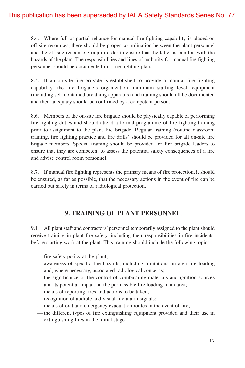8.4. Where full or partial reliance for manual fire fighting capability is placed on off-site resources, there should be proper co-ordination between the plant personnel and the off-site response group in order to ensure that the latter is familiar with the hazards of the plant. The responsibilities and lines of authority for manual fire fighting personnel should be documented in a fire fighting plan.

8.5. If an on-site fire brigade is established to provide a manual fire fighting capability, the fire brigade's organization, minimum staffing level, equipment (including self-contained breathing apparatus) and training should all be documented and their adequacy should be confirmed by a competent person.

8.6. Members of the on-site fire brigade should be physically capable of performing fire fighting duties and should attend a formal programme of fire fighting training prior to assignment to the plant fire brigade. Regular training (routine classroom training, fire fighting practice and fire drills) should be provided for all on-site fire brigade members. Special training should be provided for fire brigade leaders to ensure that they are competent to assess the potential safety consequences of a fire and advise control room personnel.

8.7. If manual fire fighting represents the primary means of fire protection, it should be ensured, as far as possible, that the necessary actions in the event of fire can be carried out safely in terms of radiological protection.

## **9. TRAINING OF PLANT PERSONNEL**

9.1. All plant staff and contractors' personnel temporarily assigned to the plant should receive training in plant fire safety, including their responsibilities in fire incidents, before starting work at the plant. This training should include the following topics:

- fire safety policy at the plant;
- awareness of specific fire hazards, including limitations on area fire loading and, where necessary, associated radiological concerns;
- the significance of the control of combustible materials and ignition sources and its potential impact on the permissible fire loading in an area;
- means of reporting fires and actions to be taken;
- recognition of audible and visual fire alarm signals;
- means of exit and emergency evacuation routes in the event of fire;
- the different types of fire extinguishing equipment provided and their use in extinguishing fires in the initial stage.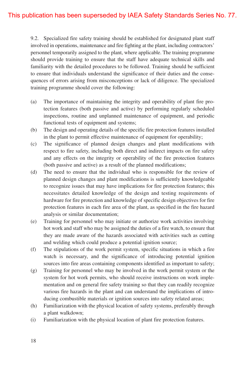9.2. Specialized fire safety training should be established for designated plant staff involved in operations, maintenance and fire fighting at the plant, including contractors' personnel temporarily assigned to the plant, where applicable. The training programme should provide training to ensure that the staff have adequate technical skills and familiarity with the detailed procedures to be followed. Training should be sufficient to ensure that individuals understand the significance of their duties and the consequences of errors arising from misconceptions or lack of diligence. The specialized training programme should cover the following:

- (a) The importance of maintaining the integrity and operability of plant fire protection features (both passive and active) by performing regularly scheduled inspections, routine and unplanned maintenance of equipment, and periodic functional tests of equipment and systems;
- (b) The design and operating details of the specific fire protection features installed in the plant to permit effective maintenance of equipment for operability;
- (c) The significance of planned design changes and plant modifications with respect to fire safety, including both direct and indirect impacts on fire safety and any effects on the integrity or operability of the fire protection features (both passive and active) as a result of the planned modifications;
- (d) The need to ensure that the individual who is responsible for the review of planned design changes and plant modifications is sufficiently knowledgeable to recognize issues that may have implications for fire protection features; this necessitates detailed knowledge of the design and testing requirements of hardware for fire protection and knowledge of specific design objectives for fire protection features in each fire area of the plant, as specified in the fire hazard analysis or similar documentation;
- (e) Training for personnel who may initiate or authorize work activities involving hot work and staff who may be assigned the duties of a fire watch, to ensure that they are made aware of the hazards associated with activities such as cutting and welding which could produce a potential ignition source;
- (f) The stipulations of the work permit system, specific situations in which a fire watch is necessary, and the significance of introducing potential ignition sources into fire areas containing components identified as important to safety;
- (g) Training for personnel who may be involved in the work permit system or the system for hot work permits, who should receive instructions on work implementation and on general fire safety training so that they can readily recognize various fire hazards in the plant and can understand the implications of introducing combustible materials or ignition sources into safety related areas;
- (h) Familiarization with the physical location of safety systems, preferably through a plant walkdown;
- (i) Familiarization with the physical location of plant fire protection features.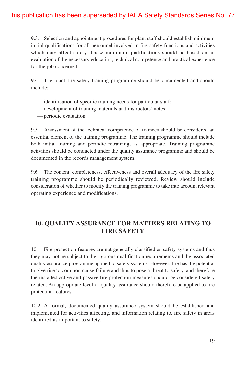9.3. Selection and appointment procedures for plant staff should establish minimum initial qualifications for all personnel involved in fire safety functions and activities which may affect safety. These minimum qualifications should be based on an evaluation of the necessary education, technical competence and practical experience for the job concerned.

9.4. The plant fire safety training programme should be documented and should include:

- identification of specific training needs for particular staff;
- development of training materials and instructors' notes;
- periodic evaluation.

9.5. Assessment of the technical competence of trainees should be considered an essential element of the training programme. The training programme should include both initial training and periodic retraining, as appropriate. Training programme activities should be conducted under the quality assurance programme and should be documented in the records management system.

9.6. The content, completeness, effectiveness and overall adequacy of the fire safety training programme should be periodically reviewed. Review should include consideration of whether to modify the training programme to take into account relevant operating experience and modifications.

## **10. QUALITY ASSURANCE FOR MATTERS RELATING TO FIRE SAFETY**

10.1. Fire protection features are not generally classified as safety systems and thus they may not be subject to the rigorous qualification requirements and the associated quality assurance programme applied to safety systems. However, fire has the potential to give rise to common cause failure and thus to pose a threat to safety, and therefore the installed active and passive fire protection measures should be considered safety related. An appropriate level of quality assurance should therefore be applied to fire protection features.

10.2. A formal, documented quality assurance system should be established and implemented for activities affecting, and information relating to, fire safety in areas identified as important to safety.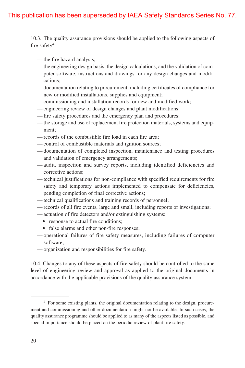10.3. The quality assurance provisions should be applied to the following aspects of fire safety<sup>4</sup>:

- the fire hazard analysis;
- the engineering design basis, the design calculations, and the validation of computer software, instructions and drawings for any design changes and modifications;
- documentation relating to procurement, including certificates of compliance for new or modified installations, supplies and equipment;
- commissioning and installation records for new and modified work;
- engineering review of design changes and plant modifications;
- fire safety procedures and the emergency plan and procedures;
- the storage and use of replacement fire protection materials, systems and equipment;
- records of the combustible fire load in each fire area;
- control of combustible materials and ignition sources;
- documentation of completed inspection, maintenance and testing procedures and validation of emergency arrangements;
- audit, inspection and survey reports, including identified deficiencies and corrective actions;
- technical justifications for non-compliance with specified requirements for fire safety and temporary actions implemented to compensate for deficiencies, pending completion of final corrective actions;
- technical qualifications and training records of personnel;
- records of all fire events, large and small, including reports of investigations;
- actuation of fire detectors and/or extinguishing systems:
	- response to actual fire conditions;
	- false alarms and other non-fire responses;
- operational failures of fire safety measures, including failures of computer software;
- organization and responsibilities for fire safety.

10.4. Changes to any of these aspects of fire safety should be controlled to the same level of engineering review and approval as applied to the original documents in accordance with the applicable provisions of the quality assurance system.

<sup>&</sup>lt;sup>4</sup> For some existing plants, the original documentation relating to the design, procurement and commissioning and other documentation might not be available. In such cases, the quality assurance programme should be applied to as many of the aspects listed as possible, and special importance should be placed on the periodic review of plant fire safety.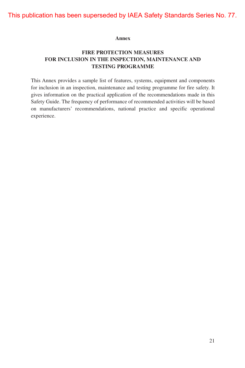#### **Annex**

## **FIRE PROTECTION MEASURES FOR INCLUSION IN THE INSPECTION, MAINTENANCE AND TESTING PROGRAMME**

This Annex provides a sample list of features, systems, equipment and components for inclusion in an inspection, maintenance and testing programme for fire safety. It gives information on the practical application of the recommendations made in this Safety Guide. The frequency of performance of recommended activities will be based on manufacturers' recommendations, national practice and specific operational experience.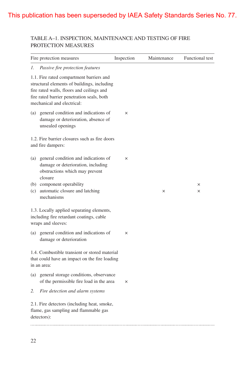## TABLE A–1. INSPECTION, MAINTENANCE AND TESTING OF FIRE PROTECTION MEASURES

| Fire protection measures                                                                                                                                                                                         | Inspection | Maintenance | Functional test |
|------------------------------------------------------------------------------------------------------------------------------------------------------------------------------------------------------------------|------------|-------------|-----------------|
| Passive fire protection features<br>1.                                                                                                                                                                           |            |             |                 |
| 1.1. Fire rated compartment barriers and<br>structural elements of buildings, including<br>fire rated walls, floors and ceilings and<br>fire rated barrier penetration seals, both<br>mechanical and electrical: |            |             |                 |
| general condition and indications of<br>(a)<br>damage or deterioration, absence of<br>unsealed openings                                                                                                          | $\times$   |             |                 |
| 1.2. Fire barrier closures such as fire doors<br>and fire dampers:                                                                                                                                               |            |             |                 |
| general condition and indications of<br>(a)<br>damage or deterioration, including<br>obstructions which may prevent<br>closure                                                                                   | $\times$   |             |                 |
| (b) component operability<br>automatic closure and latching<br>(c)<br>mechanisms                                                                                                                                 |            | $\times$    | ×<br>×          |
| 1.3. Locally applied separating elements,<br>including fire retardant coatings, cable<br>wraps and sleeves:                                                                                                      |            |             |                 |
| general condition and indications of<br>(a)<br>damage or deterioration                                                                                                                                           | $\times$   |             |                 |
| 1.4. Combustible transient or stored material<br>that could have an impact on the fire loading<br>in an area:                                                                                                    |            |             |                 |
| general storage conditions, observance<br>(a)<br>of the permissible fire load in the area                                                                                                                        | ×          |             |                 |
| 2.<br>Fire detection and alarm systems                                                                                                                                                                           |            |             |                 |
| 2.1. Fire detectors (including heat, smoke,<br>flame, gas sampling and flammable gas<br>detectors):                                                                                                              |            |             |                 |
|                                                                                                                                                                                                                  |            |             |                 |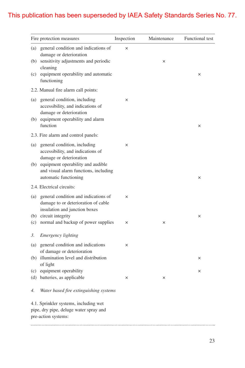|     | Fire protection measures                                                                                                       | Inspection | Maintenance | Functional test |
|-----|--------------------------------------------------------------------------------------------------------------------------------|------------|-------------|-----------------|
| (a) | general condition and indications of<br>damage or deterioration                                                                | $\times$   |             |                 |
| (b) | sensitivity adjustments and periodic<br>cleaning                                                                               |            | ×           |                 |
| (c) | equipment operability and automatic<br>functioning                                                                             |            |             | ×               |
|     | 2.2. Manual fire alarm call points:                                                                                            |            |             |                 |
| (a) | general condition, including<br>accessibility, and indications of                                                              | $\times$   |             |                 |
| (b) | damage or deterioration<br>equipment operability and alarm<br>function                                                         |            |             | ×               |
|     | 2.3. Fire alarm and control panels:                                                                                            |            |             |                 |
| (a) | general condition, including<br>accessibility, and indications of                                                              | $\times$   |             |                 |
| (b) | damage or deterioration<br>equipment operability and audible<br>and visual alarm functions, including<br>automatic functioning |            |             | ×               |
|     | 2.4. Electrical circuits:                                                                                                      |            |             |                 |
| (a) | general condition and indications of<br>damage to or deterioration of cable<br>insulation and junction boxes                   | $\times$   |             |                 |
| (b) | circuit integrity                                                                                                              |            |             | ×               |
| (c) | normal and backup of power supplies                                                                                            | ×          | ×           |                 |
| 3.  | Emergency lighting                                                                                                             |            |             |                 |
| (a) | general condition and indications<br>of damage or deterioration                                                                | $\times$   |             |                 |
|     | (b) illumination level and distribution<br>of light                                                                            |            |             | ×               |
| (c) | equipment operability                                                                                                          |            |             | ×               |
|     | (d) batteries, as applicable                                                                                                   | ×          | ×           |                 |
| 4.  | Water based fire extinguishing systems                                                                                         |            |             |                 |
|     | 4.1. Sprinkler systems, including wet<br>pipe, dry pipe, deluge water spray and                                                |            |             |                 |
|     | pre-action systems:                                                                                                            |            |             |                 |
|     |                                                                                                                                |            |             |                 |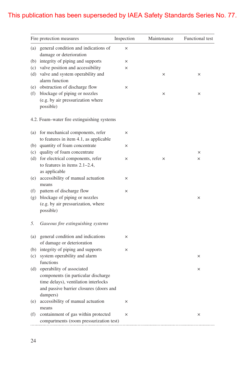|     | Fire protection measures                                                              | Inspection | Maintenance | Functional test |
|-----|---------------------------------------------------------------------------------------|------------|-------------|-----------------|
| (a) | general condition and indications of<br>damage or deterioration                       | $\times$   |             |                 |
| (b) | integrity of piping and supports                                                      | ×          |             |                 |
| (c) | valve position and accessibility                                                      | ×          |             |                 |
| (d) | valve and system operability and<br>alarm function                                    |            | ×           | ×               |
| (e) | obstruction of discharge flow                                                         | ×          |             |                 |
| (f) | blockage of piping or nozzles<br>(e.g. by air pressurization where<br>possible)       |            | ×           | ×               |
|     | 4.2. Foam-water fire extinguishing systems                                            |            |             |                 |
| (a) | for mechanical components, refer<br>to features in item 4.1, as applicable            | ×          |             |                 |
| (b) | quantity of foam concentrate                                                          | ×          |             |                 |
| (c) | quality of foam concentrate                                                           |            |             | ×               |
| (d) | for electrical components, refer<br>to features in items $2.1-2.4$ ,<br>as applicable | ×          | ×           | ×               |
| (e) | accessibility of manual actuation<br>means                                            | ×          |             |                 |
| (f) | pattern of discharge flow                                                             | ×          |             |                 |
| (g) | blockage of piping or nozzles                                                         |            |             | ×               |
|     | (e.g. by air pressurization, where<br>possible)                                       |            |             |                 |
| 5.  | Gaseous fire extinguishing systems                                                    |            |             |                 |
| (a) | general condition and indications<br>of damage or deterioration                       | ×          |             |                 |
| (b) | integrity of piping and supports                                                      | ×          |             |                 |
| (c) | system operability and alarm<br>functions                                             |            |             | ×               |
| (d) | operability of associated                                                             |            |             | ×               |
|     | components (in particular discharge                                                   |            |             |                 |
|     | time delays), ventilation interlocks                                                  |            |             |                 |
|     | and passive barrier closures (doors and<br>dampers)                                   |            |             |                 |
| (e) | accessibility of manual actuation<br>means                                            | ×          |             |                 |
| (f) | containment of gas within protected<br>compartments (room pressurization test)        | ×          |             | ×               |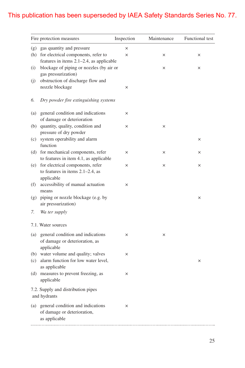|     | Fire protection measures                                         | Inspection | Maintenance | Functional test |
|-----|------------------------------------------------------------------|------------|-------------|-----------------|
| (g) | gas quantity and pressure                                        | $\times$   |             |                 |
| (h) | for electrical components, refer to                              | $\times$   | $\times$    | ×               |
|     | features in items 2.1-2.4, as applicable                         |            |             |                 |
| (i) | blockage of piping or nozzles (by air or                         |            | ×           | ×               |
| (i) | gas pressurization)<br>obstruction of discharge flow and         |            |             |                 |
|     | nozzle blockage                                                  | ×          |             |                 |
|     |                                                                  |            |             |                 |
| 6.  | Dry powder fire extinguishing systems                            |            |             |                 |
| (a) | general condition and indications                                | ×          |             |                 |
|     | of damage or deterioration                                       |            |             |                 |
| (b) | quantity, quality, condition and                                 | $\times$   | ×           |                 |
|     | pressure of dry powder                                           |            |             |                 |
| (c) | system operability and alarm<br>function                         |            |             | ×               |
| (d) | for mechanical components, refer                                 | ×          | ×           | ×               |
|     | to features in item 4.1, as applicable                           |            |             |                 |
| (e) | for electrical components, refer                                 | $\times$   | ×           | ×               |
|     | to features in items $2.1-2.4$ , as                              |            |             |                 |
|     | applicable                                                       |            |             |                 |
| (f) | accessibility of manual actuation                                | ×          |             |                 |
|     | means                                                            |            |             |                 |
| (g) | piping or nozzle blockage (e.g. by<br>air pressurization)        |            |             | ×               |
| 7.  |                                                                  |            |             |                 |
|     | Wa ter supply                                                    |            |             |                 |
|     | 7.1. Water sources                                               |            |             |                 |
| (a) | general condition and indications                                | $\times$   | ×           |                 |
|     | of damage or deterioration, as                                   |            |             |                 |
|     | applicable                                                       |            |             |                 |
|     | (b) water volume and quality; valves                             | $\times$   |             |                 |
| (c) | alarm function for low water level,                              |            |             | ×               |
|     | as applicable<br>(d) measures to prevent freezing, as            |            |             |                 |
|     | applicable                                                       |            |             |                 |
|     | 7.2. Supply and distribution pipes                               |            |             |                 |
|     | and hydrants                                                     |            |             |                 |
|     |                                                                  |            |             |                 |
| (a) | general condition and indications<br>of damage or deterioration, | ×          |             |                 |
|     | as applicable                                                    |            |             |                 |
|     |                                                                  |            |             |                 |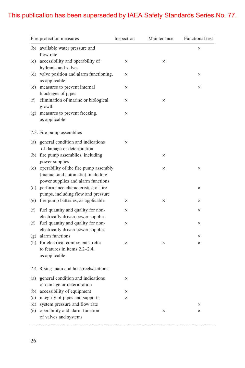|     | Fire protection measures                                                                                             | Inspection | Maintenance | Functional test |
|-----|----------------------------------------------------------------------------------------------------------------------|------------|-------------|-----------------|
|     | (b) available water pressure and<br>flow rate                                                                        |            |             | ×               |
|     | (c) accessibility and operability of<br>hydrants and valves                                                          | ×          | ×           |                 |
|     | (d) valve position and alarm functioning,<br>as applicable                                                           | ×          |             | ×               |
|     | (e) measures to prevent internal<br>blockages of pipes                                                               | ×          |             | ×               |
| (f) | elimination of marine or biological<br>growth                                                                        | ×          | ×           |                 |
| (g) | measures to prevent freezing,<br>as applicable                                                                       | ×          |             |                 |
|     | 7.3. Fire pump assemblies                                                                                            |            |             |                 |
|     | (a) general condition and indications<br>of damage or deterioration                                                  | ×          |             |                 |
|     | (b) fire pump assemblies, including<br>power supplies                                                                |            | ×           |                 |
|     | (c) operability of the fire pump assembly<br>(manual and automatic), including<br>power supplies and alarm functions |            | ×           | $\times$        |
|     | (d) performance characteristics of fire<br>pumps, including flow and pressure                                        |            |             | ×               |
| (e) | fire pump batteries, as applicable                                                                                   | ×          | $\times$    | ×               |
| (f) | fuel quantity and quality for non-<br>electrically driven power supplies                                             | ×          |             | ×               |
| (f) | fuel quantity and quality for non-<br>electrically driven power supplies                                             | ×          |             | ×               |
| (g) | alarm functions                                                                                                      |            |             | ×               |
| (h) | for electrical components, refer<br>to features in items 2.2-2.4,<br>as applicable                                   | ×          | ×           | ×               |
|     | 7.4. Rising main and hose reels/stations                                                                             |            |             |                 |
|     | (a) general condition and indications<br>of damage or deterioration                                                  | ×          |             |                 |
| (b) | accessibility of equipment                                                                                           | $\times$   |             |                 |
| (c) | integrity of pipes and supports                                                                                      | $\times$   |             |                 |
| (d) | system pressure and flow rate                                                                                        |            |             | ×               |
| (e) | operability and alarm function<br>of valves and systems                                                              |            | ×           | ×               |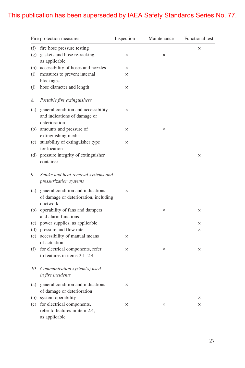|            | Fire protection measures                                                               | Inspection | Maintenance | Functional test |
|------------|----------------------------------------------------------------------------------------|------------|-------------|-----------------|
| (f)<br>(g) | fire hose pressure testing<br>gaskets and hose re-racking,<br>as applicable            | $\times$   | ×           | $\times$        |
| (h)        | accessibility of hoses and nozzles                                                     | ×          |             |                 |
| (i)        | measures to prevent internal<br>blockages                                              | ×          |             |                 |
| (j)        | hose diameter and length                                                               | ×          |             |                 |
| 8.         | Portable fire extinguishers                                                            |            |             |                 |
| (a)        | general condition and accessibility<br>and indications of damage or<br>deterioration   | ×          |             |                 |
|            | (b) amounts and pressure of<br>extinguishing media                                     | ×          | ×           |                 |
| (c)        | suitability of extinguisher type<br>for location                                       | $\times$   |             |                 |
| (d)        | pressure integrity of extinguisher<br>container                                        |            |             | ×               |
| 9.         | Smoke and heat removal systems and<br><i>pressurization systems</i>                    |            |             |                 |
| (a)        | general condition and indications<br>of damage or deterioration, including<br>ductwork | $\times$   |             |                 |
|            | (b) operability of fans and dampers<br>and alarm functions                             |            | ×           | ×               |
| (c)        | power supplies, as applicable                                                          |            |             | ×               |
| (d)        | pressure and flow rate                                                                 |            |             | ×               |
| (e)        | accessibility of manual means<br>of actuation                                          | ×          |             |                 |
| (f)        | for electrical components, refer<br>to features in items $2.1 - 2.4$                   | ×          | ×           | ×               |
|            | 10. Communication system(s) used<br><i>in fire incidents</i>                           |            |             |                 |
| (a)        | general condition and indications<br>of damage or deterioration                        | ×          |             |                 |
|            | (b) system operability                                                                 |            |             | ×               |
| (c)        | for electrical components,<br>refer to features in item 2.4,<br>as applicable          | ×          | $\times$    | ×               |
|            |                                                                                        |            |             |                 |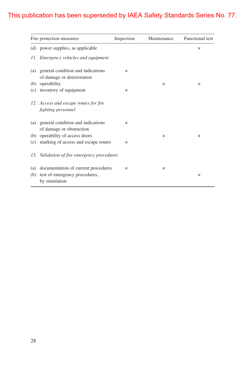|            | Fire protection measures                                                              | Inspection | Maintenance | Functional test |
|------------|---------------------------------------------------------------------------------------|------------|-------------|-----------------|
|            | (d) power supplies, as applicable                                                     |            |             | $\times$        |
|            | 11. Emergency vehicles and equipment                                                  |            |             |                 |
|            | (a) general condition and indications<br>of damage or deterioration                   | $\times$   |             |                 |
| (b)        | operability                                                                           |            | $\times$    | $\times$        |
|            | (c) inventory of equipment                                                            | $\times$   |             |                 |
|            | 12. Access and escape routes for fire<br><i>fighting personnel</i>                    |            |             |                 |
|            | (a) general condition and indications<br>of damage or obstruction                     | $\times$   |             |                 |
|            | (b) operability of access doors                                                       |            | ×           | $\times$        |
| (c)        | marking of access and escape routes                                                   | $\times$   |             |                 |
|            | 13. Validation of fire emergency procedures                                           |            |             |                 |
| (a)<br>(b) | documentation of current procedures<br>test of emergency procedures,<br>by simulation | $\times$   | $\times$    | $\times$        |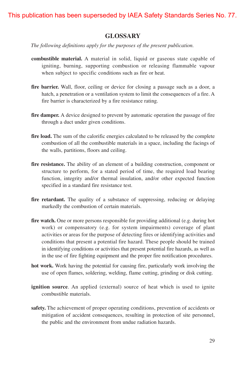## **GLOSSARY**

*The following definitions apply for the purposes of the present publication.* 

- **combustible material.** A material in solid, liquid or gaseous state capable of igniting, burning, supporting combustion or releasing flammable vapour when subject to specific conditions such as fire or heat.
- **fire barrier.** Wall, floor, ceiling or device for closing a passage such as a door, a hatch, a penetration or a ventilation system to limit the consequences of a fire. A fire barrier is characterized by a fire resistance rating.
- **fire damper.** A device designed to prevent by automatic operation the passage of fire through a duct under given conditions.
- **fire load.** The sum of the calorific energies calculated to be released by the complete combustion of all the combustible materials in a space, including the facings of the walls, partitions, floors and ceiling.
- fire resistance. The ability of an element of a building construction, component or structure to perform, for a stated period of time, the required load bearing function, integrity and/or thermal insulation, and/or other expected function specified in a standard fire resistance test.
- fire retardant. The quality of a substance of suppressing, reducing or delaying markedly the combustion of certain materials.
- **fire watch.** One or more persons responsible for providing additional (e.g. during hot work) or compensatory (e.g. for system impairments) coverage of plant activities or areas for the purpose of detecting fires or identifying activities and conditions that present a potential fire hazard. These people should be trained in identifying conditions or activities that present potential fire hazards, as well as in the use of fire fighting equipment and the proper fire notification procedures.
- **hot work.** Work having the potential for causing fire, particularly work involving the use of open flames, soldering, welding, flame cutting, grinding or disk cutting.
- **ignition source**. An applied (external) source of heat which is used to ignite combustible materials.
- **safety.** The achievement of proper operating conditions, prevention of accidents or mitigation of accident consequences, resulting in protection of site personnel, the public and the environment from undue radiation hazards.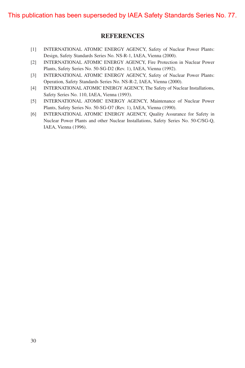## **REFERENCES**

- [1] INTERNATIONAL ATOMIC ENERGY AGENCY, Safety of Nuclear Power Plants: Design, Safety Standards Series No. NS-R-1, IAEA, Vienna (2000).
- [2] INTERNATIONAL ATOMIC ENERGY AGENCY, Fire Protection in Nuclear Power Plants, Safety Series No. 50-SG-D2 (Rev. 1), IAEA, Vienna (1992).
- [3] INTERNATIONAL ATOMIC ENERGY AGENCY, Safety of Nuclear Power Plants: Operation, Safety Standards Series No. NS-R-2, IAEA, Vienna (2000).
- [4] INTERNATIONAL ATOMIC ENERGY AGENCY, The Safety of Nuclear Installations, Safety Series No. 110, IAEA, Vienna (1993).
- [5] INTERNATIONAL ATOMIC ENERGY AGENCY, Maintenance of Nuclear Power Plants, Safety Series No. 50-SG-O7 (Rev. 1), IAEA, Vienna (1990).
- [6] INTERNATIONAL ATOMIC ENERGY AGENCY, Quality Assurance for Safety in Nuclear Power Plants and other Nuclear Installations, Safety Series No. 50-C/SG-Q, IAEA, Vienna (1996).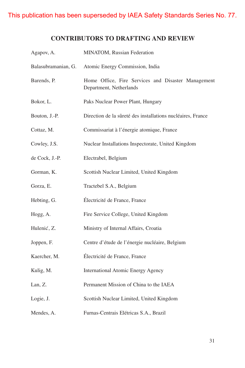## **CONTRIBUTORS TO DRAFTING AND REVIEW**

| Agapov, A.          | MINATOM, Russian Federation                                                   |
|---------------------|-------------------------------------------------------------------------------|
| Balasubramanian, G. | Atomic Energy Commission, India                                               |
| Barends, P.         | Home Office, Fire Services and Disaster Management<br>Department, Netherlands |
| Bokor, L.           | Paks Nuclear Power Plant, Hungary                                             |
| Bouton, J.-P.       | Direction de la sûreté des installations nucléaires, France                   |
| Cottaz, M.          | Commissariat à l'énergie atomique, France                                     |
| Cowley, J.S.        | Nuclear Installations Inspectorate, United Kingdom                            |
| de Cock, J.-P.      | Electrabel, Belgium                                                           |
| Gorman, K.          | Scottish Nuclear Limited, United Kingdom                                      |
| Gorza, E.           | Tractebel S.A., Belgium                                                       |
| Hebting, G.         | Électricité de France, France                                                 |
| Hogg, A.            | Fire Service College, United Kingdom                                          |
| Hulenić, Z.         | Ministry of Internal Affairs, Croatia                                         |
| Joppen, F.          | Centre d'étude de l'énergie nucléaire, Belgium                                |
| Kaercher, M.        | Électricité de France, France                                                 |
| Kulig, M.           | <b>International Atomic Energy Agency</b>                                     |
| Lan, Z.             | Permanent Mission of China to the IAEA                                        |
| Logie, J.           | Scottish Nuclear Limited, United Kingdom                                      |
| Mendes, A.          | Furnas-Centrais Elétricas S.A., Brazil                                        |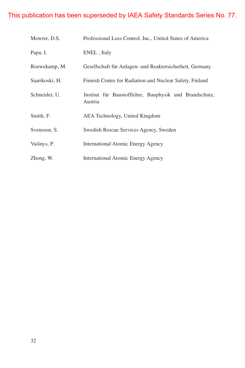| Mowrer, D.S.   | Professional Loss Control, Inc., United States of America         |
|----------------|-------------------------------------------------------------------|
| Papa, I.       | ENEL, Italy                                                       |
| Roewekamp, M.  | Gesellschaft für Anlagen- und Reaktorsicherheit, Germany          |
| Saarikoski, H. | Finnish Centre for Radiation and Nuclear Safety, Finland          |
| Schneider, U.  | Institut für Baustofflehre, Bauphysik und Brandschutz,<br>Austria |
| Smith, F.      | AEA Technology, United Kingdom                                    |
| Svensson, S.   | Swedish Rescue Services Agency, Sweden                            |
| Vaišnys, P.    | International Atomic Energy Agency                                |
| Zhong, W.      | International Atomic Energy Agency                                |